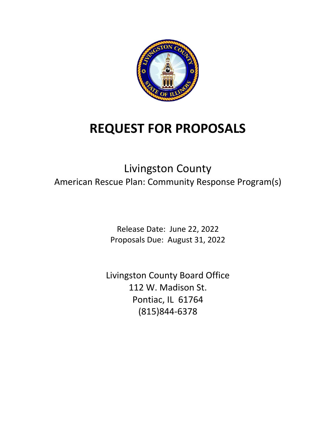

# **REQUEST FOR PROPOSALS**

# Livingston County American Rescue Plan: Community Response Program(s)

Release Date: June 22, 2022 Proposals Due: August 31, 2022

Livingston County Board Office 112 W. Madison St. Pontiac, IL 61764 (815)844‐6378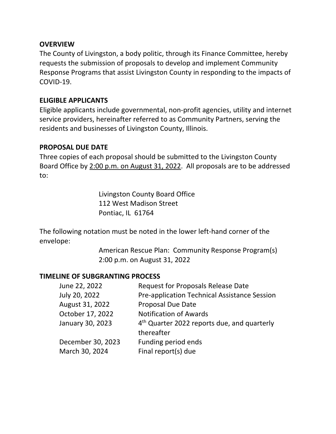### **OVERVIEW**

The County of Livingston, a body politic, through its Finance Committee, hereby requests the submission of proposals to develop and implement Community Response Programs that assist Livingston County in responding to the impacts of COVID‐19.

#### **ELIGIBLE APPLICANTS**

Eligible applicants include governmental, non‐profit agencies, utility and internet service providers, hereinafter referred to as Community Partners, serving the residents and businesses of Livingston County, Illinois.

#### **PROPOSAL DUE DATE**

Three copies of each proposal should be submitted to the Livingston County Board Office by 2:00 p.m. on August 31, 2022. All proposals are to be addressed to:

> Livingston County Board Office 112 West Madison Street Pontiac, IL 61764

The following notation must be noted in the lower left-hand corner of the envelope:

> American Rescue Plan: Community Response Program(s) 2:00 p.m. on August 31, 2022

### **TIMELINE OF SUBGRANTING PROCESS**

| June 22, 2022     | <b>Request for Proposals Release Date</b>               |
|-------------------|---------------------------------------------------------|
| July 20, 2022     | Pre-application Technical Assistance Session            |
| August 31, 2022   | <b>Proposal Due Date</b>                                |
| October 17, 2022  | <b>Notification of Awards</b>                           |
| January 30, 2023  | 4 <sup>th</sup> Quarter 2022 reports due, and quarterly |
|                   | thereafter                                              |
| December 30, 2023 | Funding period ends                                     |
| March 30, 2024    | Final report(s) due                                     |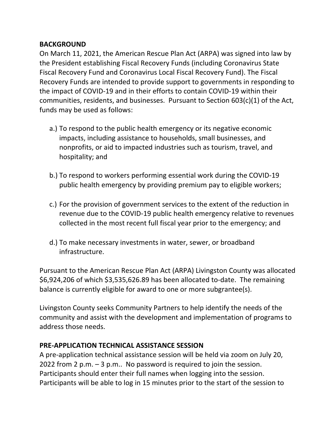# **BACKGROUND**

On March 11, 2021, the American Rescue Plan Act (ARPA) was signed into law by the President establishing Fiscal Recovery Funds (including Coronavirus State Fiscal Recovery Fund and Coronavirus Local Fiscal Recovery Fund). The Fiscal Recovery Funds are intended to provide support to governments in responding to the impact of COVID‐19 and in their efforts to contain COVID‐19 within their communities, residents, and businesses. Pursuant to Section 603(c)(1) of the Act, funds may be used as follows:

- a.) To respond to the public health emergency or its negative economic impacts, including assistance to households, small businesses, and nonprofits, or aid to impacted industries such as tourism, travel, and hospitality; and
- b.) To respond to workers performing essential work during the COVID‐19 public health emergency by providing premium pay to eligible workers;
- c.) For the provision of government services to the extent of the reduction in revenue due to the COVID‐19 public health emergency relative to revenues collected in the most recent full fiscal year prior to the emergency; and
- d.) To make necessary investments in water, sewer, or broadband infrastructure.

Pursuant to the American Rescue Plan Act (ARPA) Livingston County was allocated \$6,924,206 of which \$3,535,626.89 has been allocated to‐date. The remaining balance is currently eligible for award to one or more subgrantee(s).

Livingston County seeks Community Partners to help identify the needs of the community and assist with the development and implementation of programs to address those needs.

### **PRE‐APPLICATION TECHNICAL ASSISTANCE SESSION**

A pre‐application technical assistance session will be held via zoom on July 20, 2022 from 2 p.m. – 3 p.m.. No password is required to join the session. Participants should enter their full names when logging into the session. Participants will be able to log in 15 minutes prior to the start of the session to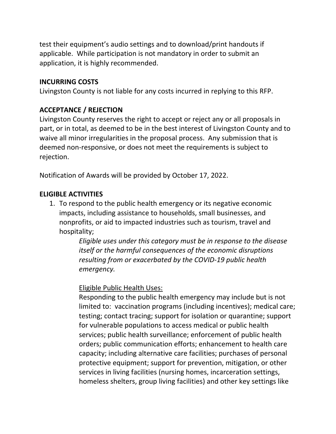test their equipment's audio settings and to download/print handouts if applicable. While participation is not mandatory in order to submit an application, it is highly recommended.

### **INCURRING COSTS**

Livingston County is not liable for any costs incurred in replying to this RFP.

# **ACCEPTANCE / REJECTION**

Livingston County reserves the right to accept or reject any or all proposals in part, or in total, as deemed to be in the best interest of Livingston County and to waive all minor irregularities in the proposal process. Any submission that is deemed non‐responsive, or does not meet the requirements is subject to rejection.

Notification of Awards will be provided by October 17, 2022.

# **ELIGIBLE ACTIVITIES**

1. To respond to the public health emergency or its negative economic impacts, including assistance to households, small businesses, and nonprofits, or aid to impacted industries such as tourism, travel and hospitality;

> *Eligible uses under this category must be in response to the disease itself or the harmful consequences of the economic disruptions resulting from or exacerbated by the COVID‐19 public health*   $emergency.$

Eligible Public Health Uses:

Responding to the public health emergency may include but is not limited to: vaccination programs (including incentives); medical care; testing; contact tracing; support for isolation or quarantine; support for vulnerable populations to access medical or public health services; public health surveillance; enforcement of public health orders; public communication efforts; enhancement to health care capacity; including alternative care facilities; purchases of personal protective equipment; support for prevention, mitigation, or other services in living facilities (nursing homes, incarceration settings, homeless shelters, group living facilities) and other key settings like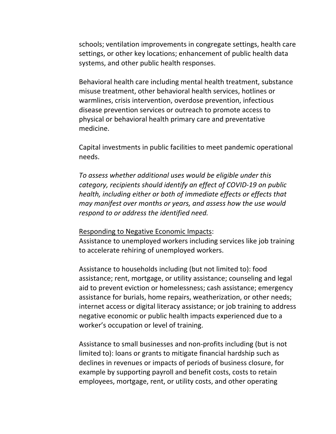schools; ventilation improvements in congregate settings, health care settings, or other key locations; enhancement of public health data systems, and other public health responses.

Behavioral health care including mental health treatment, substance misuse treatment, other behavioral health services, hotlines or warmlines, crisis intervention, overdose prevention, infectious disease prevention services or outreach to promote access to physical or behavioral health primary care and preventative medicine.

Capital investments in public facilities to meet pandemic operational needs.

*To assess whether additional uses would be eligible under this category, recipients should identify an effect of COVID‐19 on public health, including either or both of immediate effects or effects that may manifest over months or years, and assess how the use would respond to or address the identified need.* 

#### Responding to Negative Economic Impacts:

Assistance to unemployed workers including services like job training to accelerate rehiring of unemployed workers.

Assistance to households including (but not limited to): food assistance; rent, mortgage, or utility assistance; counseling and legal aid to prevent eviction or homelessness; cash assistance; emergency assistance for burials, home repairs, weatherization, or other needs; internet access or digital literacy assistance; or job training to address negative economic or public health impacts experienced due to a worker's occupation or level of training.

Assistance to small businesses and non‐profits including (but is not limited to): loans or grants to mitigate financial hardship such as declines in revenues or impacts of periods of business closure, for example by supporting payroll and benefit costs, costs to retain employees, mortgage, rent, or utility costs, and other operating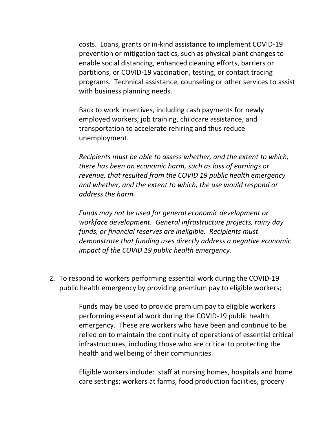costs. Loans, grants or in‐kind assistance to implement COVID‐19 prevention or mitigation tactics, such as physical plant changes to enable social distancing, enhanced cleaning efforts, barriers or partitions, or COVID‐19 vaccination, testing, or contact tracing programs. Technical assistance, counseling or other services to assist with business planning needs.

Back to work incentives, including cash payments for newly employed workers, job training, childcare assistance, and transportation to accelerate rehiring and thus reduce unemployment.

*Recipients must be able to assess whether, and the extent to which, there has been an economic harm, such as loss of earnings or revenue, that resulted from the COVID 19 public health emergency and whether, and the extent to which, the use would respond or address the harm.* 

*Funds may not be used for general economic development or workface development. General infrastructure projects, rainy day funds, or financial reserves are ineligible. Recipients must demonstrate that funding uses directly address a negative economic impact of the COVID 19 public health emergency.* 

2. To respond to workers performing essential work during the COVID‐19 public health emergency by providing premium pay to eligible workers;

> Funds may be used to provide premium pay to eligible workers performing essential work during the COVID‐19 public health emergency. These are workers who have been and continue to be relied on to maintain the continuity of operations of essential critical infrastructures, including those who are critical to protecting the health and wellbeing of their communities.

> Eligible workers include: staff at nursing homes, hospitals and home care settings; workers at farms, food production facilities, grocery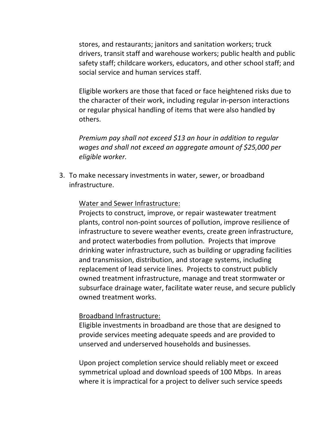stores, and restaurants; janitors and sanitation workers; truck drivers, transit staff and warehouse workers; public health and public safety staff; childcare workers, educators, and other school staff; and social service and human services staff.

Eligible workers are those that faced or face heightened risks due to the character of their work, including regular in‐person interactions or regular physical handling of items that were also handled by others.

*Premium pay shall not exceed \$13 an hour in addition to regular wages and shall not exceed an aggregate amount of \$25,000 per eligible worker.* 

3. To make necessary investments in water, sewer, or broadband infrastructure.

#### Water and Sewer Infrastructure:

Projects to construct, improve, or repair wastewater treatment plants, control non‐point sources of pollution, improve resilience of infrastructure to severe weather events, create green infrastructure, and protect waterbodies from pollution. Projects that improve drinking water infrastructure, such as building or upgrading facilities and transmission, distribution, and storage systems, including replacement of lead service lines. Projects to construct publicly owned treatment infrastructure, manage and treat stormwater or subsurface drainage water, facilitate water reuse, and secure publicly owned treatment works.

#### Broadband Infrastructure:

Eligible investments in broadband are those that are designed to provide services meeting adequate speeds and are provided to unserved and underserved households and businesses.

Upon project completion service should reliably meet or exceed symmetrical upload and download speeds of 100 Mbps. In areas where it is impractical for a project to deliver such service speeds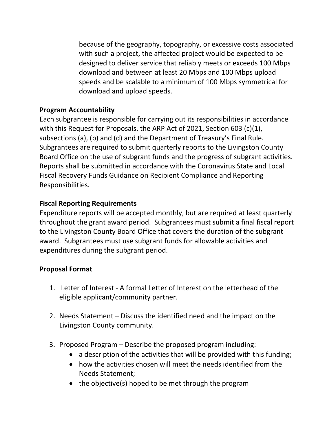because of the geography, topography, or excessive costs associated with such a project, the affected project would be expected to be designed to deliver service that reliably meets or exceeds 100 Mbps download and between at least 20 Mbps and 100 Mbps upload speeds and be scalable to a minimum of 100 Mbps symmetrical for download and upload speeds.

# **Program Accountability**

Each subgrantee is responsible for carrying out its responsibilities in accordance with this Request for Proposals, the ARP Act of 2021, Section 603 (c)(1), subsections (a), (b) and (d) and the Department of Treasury's Final Rule. Subgrantees are required to submit quarterly reports to the Livingston County Board Office on the use of subgrant funds and the progress of subgrant activities. Reports shall be submitted in accordance with the Coronavirus State and Local Fiscal Recovery Funds Guidance on Recipient Compliance and Reporting Responsibilities.

# **Fiscal Reporting Requirements**

Expenditure reports will be accepted monthly, but are required at least quarterly throughout the grant award period. Subgrantees must submit a final fiscal report to the Livingston County Board Office that covers the duration of the subgrant award. Subgrantees must use subgrant funds for allowable activities and expenditures during the subgrant period.

### **Proposal Format**

- 1. Letter of Interest ‐ A formal Letter of Interest on the letterhead of the eligible applicant/community partner.
- 2. Needs Statement Discuss the identified need and the impact on the Livingston County community.
- 3. Proposed Program Describe the proposed program including:
	- a description of the activities that will be provided with this funding;
	- how the activities chosen will meet the needs identified from the Needs Statement;
	- $\bullet$  the objective(s) hoped to be met through the program